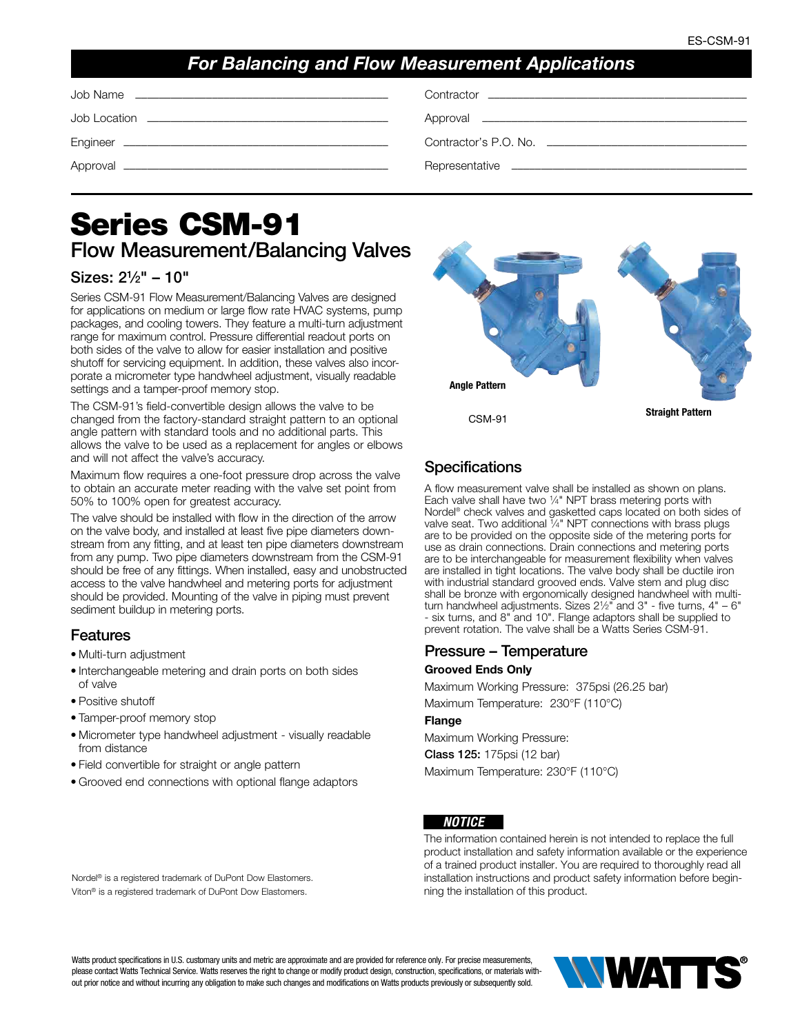## *For Balancing and Flow Measurement Applications*

| Job Name |
|----------|
|          |

Job Location ––––––––––––––––––––––––––––––––––––––––– Approval –––––––––––––––––––––––––––––––––––––––––––––

Job Name ––––––––––––––––––––––––––––––––––––––––––– Contractor ––––––––––––––––––––––––––––––––––––––––––––

| Approval |
|----------|
|----------|

Engineer ––––––––––––––––––––––––––––––––––––––––––––– Contractor's P.O. No. ––––––––––––––––––––––––––––––––––

```
Approval ––––––––––––––––––––––––––––––––––––––––––––– Representative ––––––––––––––––––––––––––––––––––––––––
```
# Series CSM-91 Flow Measurement/Balancing Valves

## Sizes: 21⁄2" – 10"

Series CSM-91 Flow Measurement/Balancing Valves are designed for applications on medium or large flow rate HVAC systems, pump packages, and cooling towers. They feature a multi-turn adjustment range for maximum control. Pressure differential readout ports on both sides of the valve to allow for easier installation and positive shutoff for servicing equipment. In addition, these valves also incorporate a micrometer type handwheel adjustment, visually readable settings and a tamper-proof memory stop.

The CSM-91's field-convertible design allows the valve to be changed from the factory-standard straight pattern to an optional angle pattern with standard tools and no additional parts. This allows the valve to be used as a replacement for angles or elbows and will not affect the valve's accuracy.

Maximum flow requires a one-foot pressure drop across the valve to obtain an accurate meter reading with the valve set point from 50% to 100% open for greatest accuracy.

The valve should be installed with flow in the direction of the arrow on the valve body, and installed at least five pipe diameters downstream from any fitting, and at least ten pipe diameters downstream from any pump. Two pipe diameters downstream from the CSM-91 should be free of any fittings. When installed, easy and unobstructed access to the valve handwheel and metering ports for adjustment should be provided. Mounting of the valve in piping must prevent sediment buildup in metering ports.

## **Features**

- Multi-turn adjustment
- Interchangeable metering and drain ports on both sides of valve
- Positive shutoff
- Tamper-proof memory stop
- Micrometer type handwheel adjustment visually readable from distance
- Field convertible for straight or angle pattern
- Grooved end connections with optional flange adaptors



## **Specifications**

A flow measurement valve shall be installed as shown on plans. Each valve shall have two 1⁄4" NPT brass metering ports with Nordel® check valves and gasketted caps located on both sides of valve seat. Two additional 1/4" NPT connections with brass plugs are to be provided on the opposite side of the metering ports for use as drain connections. Drain connections and metering ports are to be interchangeable for measurement flexibility when valves are installed in tight locations. The valve body shall be ductile iron with industrial standard grooved ends. Valve stem and plug disc shall be bronze with ergonomically designed handwheel with multiturn handwheel adjustments. Sizes 21⁄2" and 3" - five turns, 4" – 6" - six turns, and 8" and 10". Flange adaptors shall be supplied to prevent rotation. The valve shall be a Watts Series CSM-91.

#### Pressure – Temperature

#### Grooved Ends Only

Maximum Working Pressure: 375psi (26.25 bar) Maximum Temperature: 230°F (110°C)

#### **Flange**

Maximum Working Pressure: Class 125: 175psi (12 bar) Maximum Temperature: 230°F (110°C)

#### *NOTICE*

The information contained herein is not intended to replace the full product installation and safety information available or the experience of a trained product installer. You are required to thoroughly read all installation instructions and product safety information before beginning the installation of this product.

Nordel® is a registered trademark of DuPont Dow Elastomers. Viton® is a registered trademark of DuPont Dow Elastomers.

Watts product specifications in U.S. customary units and metric are approximate and are provided for reference only. For precise measurements, please contact Watts Technical Service. Watts reserves the right to change or modify product design, construction, specifications, or materials without prior notice and without incurring any obligation to make such changes and modifications on Watts products previously or subsequently sold.

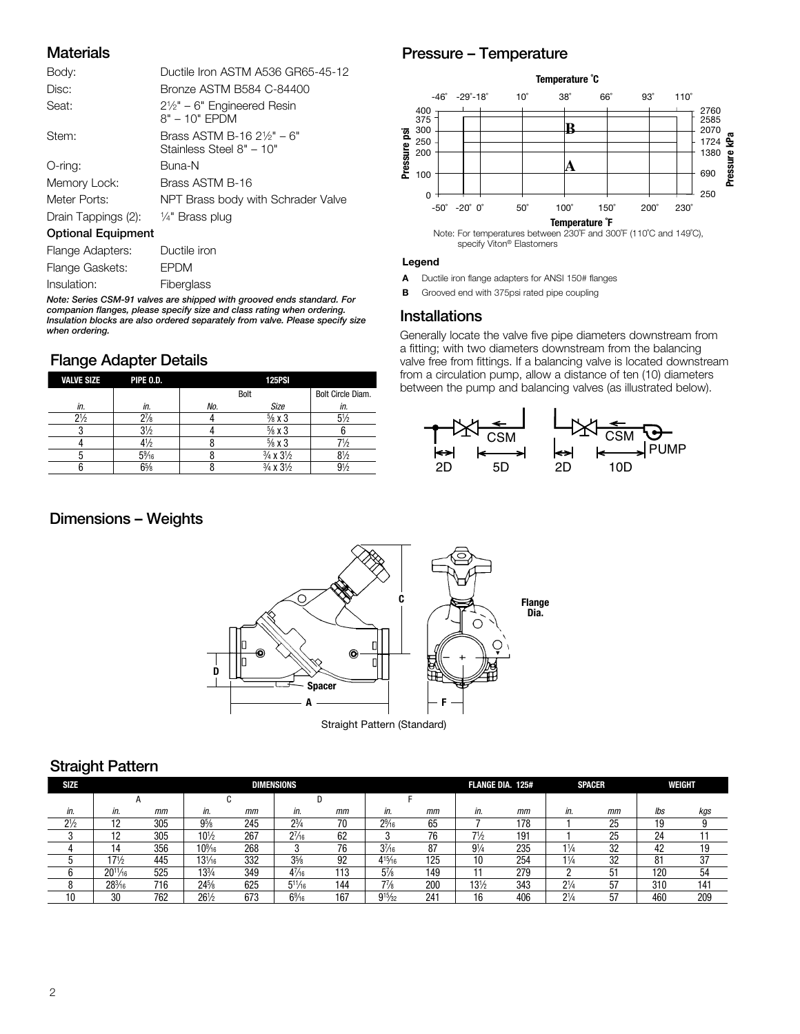#### **Materials**

| Body:                     | Ductile Iron ASTM A536 GR65-45-12                                 |
|---------------------------|-------------------------------------------------------------------|
| Disc:                     | Bronze ASTM B584 C-84400                                          |
| Seat:                     | $2\frac{1}{2}$ " – 6" Engineered Resin<br>$8" - 10"$ EPDM         |
| Stem:                     | Brass ASTM B-16 $2\frac{1}{2}$ " – 6"<br>Stainless Steel 8" - 10" |
| O-ring:                   | Buna-N                                                            |
| Memory Lock:              | Brass ASTM B-16                                                   |
| Meter Ports:              | NPT Brass body with Schrader Valve                                |
| Drain Tappings (2):       | 1/ <sub>4</sub> " Brass plug                                      |
| <b>Optional Equipment</b> |                                                                   |
| Flange Adapters:          | Ductile iron                                                      |
| Flange Gaskets:           | <b>EPDM</b>                                                       |
| Insulation:               | Fiberglass                                                        |

*Note: Series CSM-91 valves are shipped with grooved ends standard. For companion flanges, please specify size and class rating when ordering. Insulation blocks are also ordered separately from valve. Please specify size when ordering.*

#### Flange Adapter Details

| <b>VALVE SIZE</b> | PIPE O.D.      |     | <b>125PSI</b>                     |                   |
|-------------------|----------------|-----|-----------------------------------|-------------------|
|                   |                |     | Bolt                              | Bolt Circle Diam. |
| in.               | in.            | No. | Size                              | in.               |
| $2\frac{1}{2}$    | $2\frac{7}{8}$ |     | $\frac{5}{8}$ x 3                 | $5\frac{1}{2}$    |
|                   | $3\frac{1}{2}$ |     | $\frac{5}{8}$ x 3                 |                   |
|                   | 4½             |     | $\frac{5}{8}$ x 3                 |                   |
|                   | $5\%6$         |     | $\frac{3}{4} \times 3\frac{1}{2}$ | $8\frac{1}{2}$    |
|                   | $6\frac{5}{8}$ |     | $\frac{3}{4} \times 3\frac{1}{2}$ | $9\%$             |

#### Dimensions – Weights

## Pressure – Temperature



#### Legend

- A Ductile iron flange adapters for ANSI 150# flanges
- **B** Grooved end with 375psi rated pipe coupling

#### Installations

Generally locate the valve five pipe diameters downstream from a fitting; with two diameters downstream from the balancing valve free from fittings. If a balancing valve is located downstream from a circulation pump, allow a distance of ten (10) diameters between the pump and balancing valves (as illustrated below).





#### Straight Pattern

| <b>SIZE</b>    |                  |     |                 |     | <b>DIMENSIONS</b> |     | <b>FLANGE DIA. 125#</b> |     | <b>SPACER</b>   | <b>WEIGHT</b> |                |    |         |     |
|----------------|------------------|-----|-----------------|-----|-------------------|-----|-------------------------|-----|-----------------|---------------|----------------|----|---------|-----|
|                |                  |     |                 |     |                   |     |                         |     |                 |               |                |    |         |     |
| in.            | in.              | mm  | in.             | mm  | in.               | mm  | in.                     | mm  | in.             | mm            | in.            | mm | lbs     | kgs |
| $2\frac{1}{2}$ |                  | 305 | $9\frac{5}{8}$  | 245 | $2^{3}/_{4}$      | 70  | $2\frac{9}{16}$         | 65  |                 | 178           |                | 25 | 19      |     |
|                |                  | 305 | $10\frac{1}{2}$ | 267 | $2^{7}/_{16}$     | 62  |                         | 76  | 71/2            | 191           |                | 25 | 24      |     |
|                |                  | 356 | $10\%$          | 268 |                   | 76  | $3^{7}/_{16}$           | 87  | $9\frac{1}{4}$  | 235           | $1\frac{1}{4}$ | 32 | 42      | 19  |
|                | $17\frac{1}{2}$  | 445 | $13\frac{1}{6}$ | 332 | $3\frac{5}{8}$    | 92  | $4^{15}/_{16}$          | 125 | 10              | 254           | $1\frac{1}{4}$ | 32 | ο٠<br>Ŏ | 37  |
|                | $20^{11}/_{16}$  | 525 | $13\frac{3}{4}$ | 349 | $4\frac{7}{16}$   | 113 | $5\frac{7}{8}$          | 149 |                 | 279           |                | 51 | 120     | 54  |
|                | $28\frac{3}{16}$ | 716 | 24%             | 625 | $5^{11}/_{16}$    | 144 | $7\frac{7}{8}$          | 200 | $13\frac{1}{2}$ | 343           | $2\frac{1}{4}$ | 57 | 310     | 141 |
| 10             | 30               | 762 | $26\frac{1}{2}$ | 673 | $6\frac{9}{16}$   | 167 | $9^{15}/_{32}$          | 241 | 16              | 406           | $2\frac{1}{4}$ | 57 | 460     | 209 |